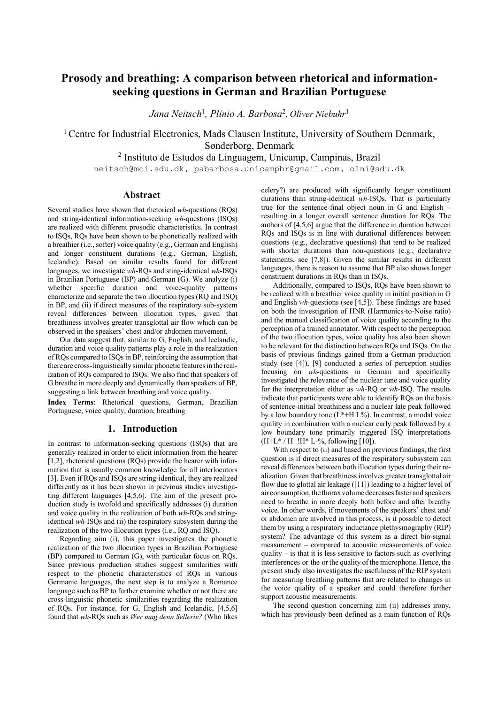# **Prosody and breathing: A comparison between rhetorical and informationseeking questions in German and Brazilian Portuguese**

*Jana Neitsch*<sup>1</sup> *, Plinio A. Barbosa*<sup>2</sup> *, Oliver Niebuhr*<sup>1</sup>

<sup>1</sup> Centre for Industrial Electronics, Mads Clausen Institute, University of Southern Denmark, Sønderborg, Denmark

<sup>2</sup> Instituto de Estudos da Linguagem, Unicamp, Campinas, Brazil

neitsch@mci.sdu.dk, pabarbosa.unicampbr@gmail.com, olni@sdu.dk

## **Abstract**

Several studies have shown that rhetorical *wh*-questions (RQs) and string-identical information-seeking *wh*-questions (ISQs) are realized with different prosodic characteristics. In contrast to ISQs, RQs have been shown to be phonetically realized with a breathier (i.e., softer) voice quality  $(e.g., German and English)$ and longer constituent durations (e.g., German, English, Icelandic). Based on similar results found for different languages, we investigate *wh*-RQs and sting-identical *wh*-ISQs in Brazilian Portuguese (BP) and German (G). We analyze (i) whether specific duration and voice-quality patterns characterize and separate the two illocution types (RQ and ISQ) in BP, and (ii) if direct measures of the respiratory sub-system reveal differences between illocution types, given that breathiness involves greater transglottal air flow which can be observed in the speakers' chest and/or abdomen movement.

Our data suggest that, similar to G, English, and Icelandic, duration and voice quality patterns play a role in the realization of RQs compared to ISQsin BP, reinforcing the assumption that there are cross-linguistically similar phonetic features in the realization of RQs compared to ISQs. We also find that speakers of G breathe in more deeply and dynamically than speakers of BP, suggesting a link between breathing and voice quality.

**Index Terms**: Rhetorical questions, German, Brazilian Portuguese, voice quality, duration, breathing

## **1. Introduction**

In contrast to information-seeking questions (ISQs) that are generally realized in order to elicit information from the hearer [1,2], rhetorical questions (RQs) provide the hearer with information that is usually common knowledge for all interlocutors [3]. Even if RQs and ISQs are string-identical, they are realized differently as it has been shown in previous studies investigating different languages [4,5,6]. The aim of the present production study is twofold and specifically addresses (i) duration and voice quality in the realization of both *wh*-RQs and stringidentical *wh*-ISQs and (ii) the respiratory subsystem during the realization of the two illocution types (i.e., RQ and ISQ).

Regarding aim (i), this paper investigates the phonetic realization of the two illocution types in Brazilian Portuguese (BP) compared to German (G), with particular focus on RQs. Since previous production studies suggest similarities with respect to the phonetic characteristics of RQs in various Germanic languages, the next step is to analyze a Romance language such as BP to further examine whether or not there are cross-linguistic phonetic similarities regarding the realization of RQs. For instance, for G, English and Icelandic, [4,5,6] found that *wh*-RQs such as *Wer mag denn Sellerie?* (Who likes celery?) are produced with significantly longer constituent durations than string-identical *wh*-ISQs. That is particularly true for the sentence-final object noun in G and English – resulting in a longer overall sentence duration for RQs. The authors of [4,5,6] argue that the difference in duration between RQs and ISQs is in line with durational differences between questions (e.g., declarative questions) that tend to be realized with shorter durations than non-questions (e.g., declarative statements, see [7,8]). Given the similar results in different languages, there is reason to assume that BP also shows longer constituent durations in RQs than in ISQs.

Additionally, compared to ISQs, RQs have been shown to be realized with a breathier voice quality in initial position in G and English *wh*-questions (see [4,5]). These findings are based on both the investigation of HNR (Harmonics-to-Noise ratio) and the manual classification of voice quality according to the perception of a trained annotator. With respect to the perception of the two illocution types, voice quality has also been shown to be relevant for the distinction between RQs and ISQs. On the basis of previous findings gained from a German production study (see [4]), [9] conducted a series of perception studies focusing on *wh*-questions in German and specifically investigated the relevance of the nuclear tune and voice quality for the interpretation either as *wh*-RQ or *wh*-ISQ. The results indicate that participants were able to identify RQs on the basis of sentence-initial breathiness and a nuclear late peak followed by a low boundary tone (L\*+H L%). In contrast, a modal voice quality in combination with a nuclear early peak followed by a low boundary tone primarily triggered ISQ interpretations  $(H+L^* / H+!H^* L-%,$  following [10]).

With respect to (ii) and based on previous findings, the first question is if direct measures of the respiratory subsystem can reveal differences between both illocution types during their realization. Given that breathiness involves greater transglottal air flow due to glottal air leakage ([11]) leading to a higher level of air consumption, the thorax volume decreases faster and speakers need to breathe in more deeply both before and after breathy voice. In other words, if movements of the speakers' chest and/ or abdomen are involved in this process, is it possible to detect them by using a respiratory inductance plethysmography (RIP) system? The advantage of this system as a direct bio-signal measurement – compared to acoustic measurements of voice quality – is that it is less sensitive to factors such as overlying interferences or the or the quality of the microphone. Hence, the present study also investigates the usefulness of the RIP system for measuring breathing patterns that are related to changes in the voice quality of a speaker and could therefore further support acoustic measurements.

The second question concerning aim (ii) addresses irony, which has previously been defined as a main function of RQs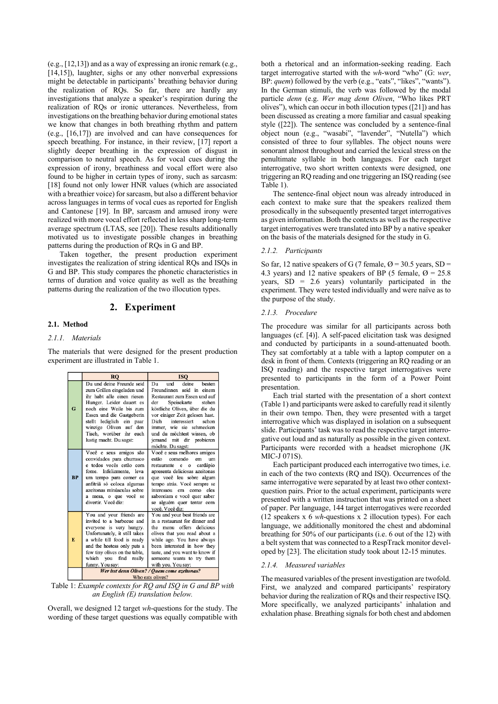(e.g., [12,13]) and as a way of expressing an ironic remark (e.g., [14,15]), laughter, sighs or any other nonverbal expressions might be detectable in participants' breathing behavior during the realization of RQs. So far, there are hardly any investigations that analyze a speaker's respiration during the realization of RQs or ironic utterances. Nevertheless, from investigations on the breathing behavior during emotional states we know that changes in both breathing rhythm and pattern (e.g., [16,17]) are involved and can have consequences for speech breathing. For instance, in their review, [17] report a slightly deeper breathing in the expression of disgust in comparison to neutral speech. As for vocal cues during the expression of irony, breathiness and vocal effort were also found to be higher in certain types of irony, such as sarcasm: [18] found not only lower HNR values (which are associated with a breathier voice) for sarcasm, but also a different behavior across languages in terms of vocal cues as reported for English and Cantonese [19]. In BP, sarcasm and amused irony were realized with more vocal effort reflected in less sharp long-term average spectrum (LTAS, see [20]). These results additionally motivated us to investigate possible changes in breathing patterns during the production of RQs in G and BP.

Taken together, the present production experiment investigates the realization of string identical RQs and ISQs in G and BP. This study compares the phonetic characteristics in terms of duration and voice quality as well as the breathing patterns during the realization of the two illocution types.

# **2. Experiment**

## **2.1. Method**

#### *2.1.1. Materials*

The materials that were designed for the present production experiment are illustrated in Table 1.

|           | <b>RO</b>                                                                                                                                                                                                                                                                              | <b>ISO</b>                                                                                                                                                                                                                                                                                                                               |
|-----------|----------------------------------------------------------------------------------------------------------------------------------------------------------------------------------------------------------------------------------------------------------------------------------------|------------------------------------------------------------------------------------------------------------------------------------------------------------------------------------------------------------------------------------------------------------------------------------------------------------------------------------------|
| G         | Du und deine Freunde seid<br>zum Grillen eingeladen und<br>ihr habt alle einen riesen<br>Hunger. Leider dauert es<br>noch eine Weile bis zum<br>Essen und die Gastgeberin<br>stellt lediglich ein paar<br>winzige Oliven auf den<br>Tisch, worüber ihr euch<br>lustig macht. Du sagst: | deine<br>Du<br>und<br>besten<br>Freundinnen seid in einem<br>Restaurant zum Essen und auf<br>der<br>Speisekarte<br>stehen<br>köstliche Oliven, über die du<br>vor einiger Zeit gelesen hast.<br>Dich<br>interessiert<br>schon<br>immer, wie sie schmecken<br>und du möchtest wissen, ob<br>jemand mit dir probieren<br>möchte. Du sagst: |
| <b>BP</b> | Você e seus amigos são<br>convidados para churrasco<br>e todos vocês estão com<br>fome. Infelizmente, leva<br>um tempo para comer ea<br>anfitriã só coloca algumas<br>azeitonas minúsculas sobre<br>a mesa, o que você se<br>divertir. Você diz:                                       | Você e seus melhores amigos<br>comendo<br>estão<br>em<br>um<br>restaurante e o cardápio<br>apresenta deliciosas azeitonas<br>que você leu sobre algum<br>tempo atrás. Você sempre se<br>interessou em como<br>eles<br>saboreiam e você quer saber<br>se alguém quer tentar com<br>você. Você diz:                                        |
| E.        | You and your friends are<br>invited to a barbecue and<br>everyone is very hungry.<br>Unfortunately, it still takes<br>a while till food is ready<br>and the hostess only puts a<br>few tiny olives on the table,<br>which you find really<br>funny. You say:                           | You and your best friends are<br>in a restaurant for dinner and<br>delicious<br>menu offers<br>the<br>olives that you read about a<br>while ago. You have always<br>been interested in how they<br>taste, and you want to know if<br>someone wants to try them<br>with you. You say:                                                     |
|           | Wer isst denn Oliven? / Ouem come azeitonas?<br>Who esta elizes <sup>2</sup>                                                                                                                                                                                                           |                                                                                                                                                                                                                                                                                                                                          |

Table 1: *Example contexts for RQ and ISQ in G and BP with an English (E) translation below.*

Overall, we designed 12 target *wh*-questions for the study. The wording of these target questions was equally compatible with both a rhetorical and an information-seeking reading. Each target interrogative started with the *wh*-word "who" (G: *wer*, BP: *quem*) followed by the verb (e.g., "eats", "likes", "wants"). In the German stimuli, the verb was followed by the modal particle *denn* (e.g. *Wer mag denn Oliven*, "Who likes PRT olives"), which can occur in both illocution types ([21]) and has been discussed as creating a more familiar and casual speaking style ([22]). The sentence was concluded by a sentence-final object noun (e.g., "wasabi", "lavender", "Nutella") which consisted of three to four syllables. The object nouns were sonorant almost throughout and carried the lexical stress on the penultimate syllable in both languages. For each target interrogative, two short written contexts were designed, one triggering an RQ reading and one triggering an ISQ reading (see Table 1).

The sentence-final object noun was already introduced in each context to make sure that the speakers realized them prosodically in the subsequently presented target interrogatives as given information. Both the contexts as well as the respective target interrogatives were translated into BP by a native speaker on the basis of the materials designed for the study in G.

## *2.1.2. Participants*

So far, 12 native speakers of G (7 female,  $\varnothing$  = 30.5 years, SD = 4.3 years) and 12 native speakers of BP (5 female,  $\varnothing$  = 25.8 years,  $SD = 2.6$  years) voluntarily participated in the experiment. They were tested individually and were naïve as to the purpose of the study.

#### *2.1.3. Procedure*

The procedure was similar for all participants across both languages (cf. [4)]. A self-paced elicitation task was designed and conducted by participants in a sound-attenuated booth. They sat comfortably at a table with a laptop computer on a desk in front of them. Contexts (triggering an RQ reading or an ISQ reading) and the respective target interrogatives were presented to participants in the form of a Power Point presentation.

Each trial started with the presentation of a short context (Table 1) and participants were asked to carefully read it silently in their own tempo. Then, they were presented with a target interrogative which was displayed in isolation on a subsequent slide. Participants' task was to read the respective target interrogative out loud and as naturally as possible in the given context. Participants were recorded with a headset microphone (JK MIC-J 071S).

Each participant produced each interrogative two times, i.e. in each of the two contexts (RQ and ISQ). Occurrences of the same interrogative were separated by at least two other contextquestion pairs. Prior to the actual experiment, participants were presented with a written instruction that was printed on a sheet of paper. Per language, 144 target interrogatives were recorded (12 speakers x 6 *wh*-questions x 2 illocution types). For each language, we additionally monitored the chest and abdominal breathing for 50% of our participants (i.e. 6 out of the 12) with a belt system that was connected to a RespTrack monitor developed by [23]. The elicitation study took about 12-15 minutes.

#### *2.1.4. Measured variables*

The measured variables of the present investigation are twofold. First, we analyzed and compared participants' respiratory behavior during the realization of RQs and their respective ISQ. More specifically, we analyzed participants' inhalation and exhalation phase. Breathing signals for both chest and abdomen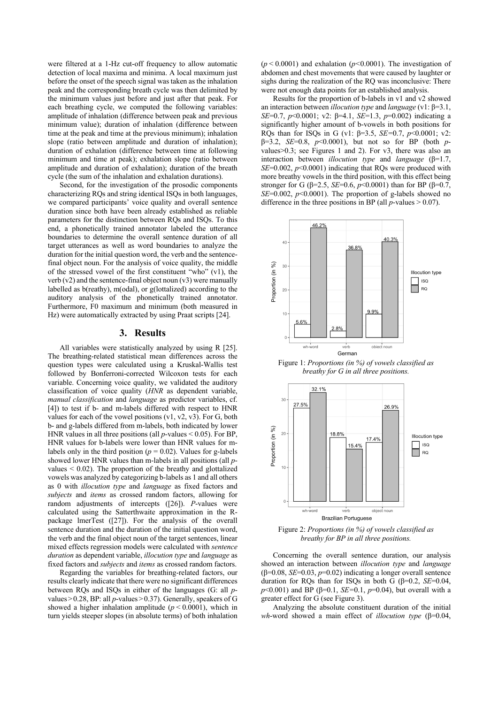were filtered at a 1-Hz cut-off frequency to allow automatic detection of local maxima and minima. A local maximum just before the onset of the speech signal was taken as the inhalation peak and the corresponding breath cycle was then delimited by the minimum values just before and just after that peak. For each breathing cycle, we computed the following variables: amplitude of inhalation (difference between peak and previous minimum value); duration of inhalation (difference between time at the peak and time at the previous minimum); inhalation slope (ratio between amplitude and duration of inhalation); duration of exhalation (difference between time at following minimum and time at peak); exhalation slope (ratio between amplitude and duration of exhalation); duration of the breath cycle (the sum of the inhalation and exhalation durations).

Second, for the investigation of the prosodic components characterizing RQs and string identical ISQs in both languages, we compared participants' voice quality and overall sentence duration since both have been already established as reliable parameters for the distinction between RQs and ISQs. To this end, a phonetically trained annotator labeled the utterance boundaries to determine the overall sentence duration of all target utterances as well as word boundaries to analyze the duration for the initial question word, the verb and the sentencefinal object noun. For the analysis of voice quality, the middle of the stressed vowel of the first constituent "who" (v1), the verb  $(v2)$  and the sentence-final object noun  $(v3)$  were manually labelled as b(reathy), m(odal), or g(lottalized) according to the auditory analysis of the phonetically trained annotator. Furthermore, F0 maximum and minimum (both measured in Hz) were automatically extracted by using Praat scripts [24].

## **3. Results**

All variables were statistically analyzed by using R [25]. The breathing-related statistical mean differences across the question types were calculated using a Kruskal-Wallis test followed by Bonferroni-corrected Wilcoxon tests for each variable. Concerning voice quality, we validated the auditory classification of voice quality (*HNR* as dependent variable, *manual classification* and *language* as predictor variables, cf. [4]) to test if b- and m-labels differed with respect to HNR values for each of the vowel positions (v1, v2, v3). For G, both b- and g-labels differed from m-labels, both indicated by lower HNR values in all three positions (all *p*-values < 0.05). For BP, HNR values for b-labels were lower than HNR values for mlabels only in the third position ( $p = 0.02$ ). Values for g-labels showed lower HNR values than m-labels in all positions (all *p*values < 0.02). The proportion of the breathy and glottalized vowels was analyzed by categorizing b-labels as 1 and all others as 0 with *illocution type* and *language* as fixed factors and *subjects* and *items* as crossed random factors, allowing for random adjustments of intercepts ([26]). *P*-values were calculated using the Satterthwaite approximation in the Rpackage lmerTest ([27]). For the analysis of the overall sentence duration and the duration of the initial question word, the verb and the final object noun of the target sentences, linear mixed effects regression models were calculated with *sentence duration* as dependent variable, *illocution type* and *language* as fixed factors and *subjects* and *items* as crossed random factors.

Regarding the variables for breathing-related factors, our results clearly indicate that there were no significant differences between RQs and ISQs in either of the languages (G: all *p*values>0.28, BP: all *p*-values>0.37). Generally, speakers of G showed a higher inhalation amplitude  $(p < 0.0001)$ , which in turn yields steeper slopes (in absolute terms) of both inhalation  $(p<0.0001)$  and exhalation ( $p<0.0001$ ). The investigation of abdomen and chest movements that were caused by laughter or sighs during the realization of the RQ was inconclusive: There were not enough data points for an established analysis.

Results for the proportion of b-labels in v1 and v2 showed an interaction between *illocution type* and *language* (v1: β=3.1, *SE*=0.7, *p*<0.0001; v2: β=4.1, *SE*=1.3, *p*=0.002) indicating a significantly higher amount of b-vowels in both positions for RQs than for ISQs in G (v1: β=3.5, *SE=*0.7, *p*<0.0001; v2: β=3.2, *SE*=0.8, *p*<0.0001), but not so for BP (both *p*values>0.3; see Figures 1 and 2). For v3, there was also an interaction between *illocution type* and *language* (β=1.7, *SE*=0.002, *p*<0.0001) indicating that RQs were produced with more breathy vowels in the third position, with this effect being stronger for G ( $\beta$ =2.5, *SE*=0.6, *p*<0.0001) than for BP ( $\beta$ =0.7, *SE*=0.002, *p*<0.0001). The proportion of g-labels showed no difference in the three positions in BP (all  $p$ -values  $> 0.07$ ).



Figure 1: *Proportions (in %) of vowels classified as breathy for G in all three positions.*



Figure 2: *Proportions (in %) of vowels classified as breathy for BP in all three positions.*

Concerning the overall sentence duration, our analysis showed an interaction between *illocution type* and *language*  ( $\beta$ =0.08, *SE*=0.03, *p*=0.02) indicating a longer overall sentence duration for RQs than for ISQs in both G (β=0.2, *SE*=0.04, *p*<0.001) and BP (β=0.1, *SE*=0.1, *p*=0.04), but overall with a greater effect for G (see Figure 3).

Analyzing the absolute constituent duration of the initial *wh*-word showed a main effect of *illocution type* (β=0.04,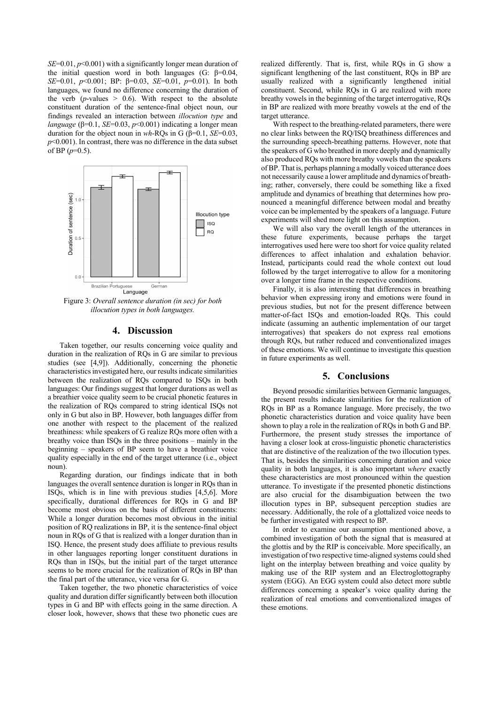*SE*=0.01, *p*<0.001) with a significantly longer mean duration of the initial question word in both languages (G: β=0.04, *SE*=0.01, *p*<0.001; BP: β=0.03, *SE*=0.01, *p*=0.01). In both languages, we found no difference concerning the duration of the verb  $(p$ -values  $> 0.6$ ). With respect to the absolute constituent duration of the sentence-final object noun, our findings revealed an interaction between *illocution type* and *language* ( $\beta$ =0.1, *SE*=0.03, *p*<0.001) indicating a longer mean duration for the object noun in *wh*-RQs in G (β=0.1, *SE*=0.03, *p*<0.001). In contrast, there was no difference in the data subset of BP  $(p=0.5)$ .



Figure 3: *Overall sentence duration (in sec) for both illocution types in both languages.*

## **4. Discussion**

Taken together, our results concerning voice quality and duration in the realization of RQs in G are similar to previous studies (see [4,9]). Additionally, concerning the phonetic characteristics investigated here, our results indicate similarities between the realization of RQs compared to ISQs in both languages: Our findings suggest that longer durations as well as a breathier voice quality seem to be crucial phonetic features in the realization of RQs compared to string identical ISQs not only in G but also in BP. However, both languages differ from one another with respect to the placement of the realized breathiness: while speakers of G realize RQs more often with a breathy voice than ISQs in the three positions – mainly in the beginning – speakers of BP seem to have a breathier voice quality especially in the end of the target utterance (i.e., object noun).

Regarding duration, our findings indicate that in both languages the overall sentence duration is longer in RQs than in ISQs, which is in line with previous studies [4,5,6]. More specifically, durational differences for RQs in G and BP become most obvious on the basis of different constituents: While a longer duration becomes most obvious in the initial position of RQ realizations in BP, it is the sentence-final object noun in RQs of G that is realized with a longer duration than in ISQ. Hence, the present study does affiliate to previous results in other languages reporting longer constituent durations in RQs than in ISQs, but the initial part of the target utterance seems to be more crucial for the realization of RQs in BP than the final part of the utterance, vice versa for G.

Taken together, the two phonetic characteristics of voice quality and duration differ significantly between both illocution types in G and BP with effects going in the same direction. A closer look, however, shows that these two phonetic cues are realized differently. That is, first, while RQs in G show a significant lengthening of the last constituent, RQs in BP are usually realized with a significantly lengthened initial constituent. Second, while RQs in G are realized with more breathy vowels in the beginning of the target interrogative, RQs in BP are realized with more breathy vowels at the end of the target utterance.

With respect to the breathing-related parameters, there were no clear links between the RQ/ISQ breathiness differences and the surrounding speech-breathing patterns. However, note that the speakers of G who breathed in more deeply and dynamically also produced RQs with more breathy vowels than the speakers ofBP. That is, perhaps planning a modally voiced utterance does not necessarily cause a lower amplitude and dynamics of breathing; rather, conversely, there could be something like a fixed amplitude and dynamics of breathing that determines how pronounced a meaningful difference between modal and breathy voice can be implemented by the speakers of a language. Future experiments will shed more light on this assumption.

We will also vary the overall length of the utterances in these future experiments, because perhaps the target interrogatives used here were too short for voice quality related differences to affect inhalation and exhalation behavior. Instead, participants could read the whole context out loud followed by the target interrogative to allow for a monitoring over a longer time frame in the respective conditions.

Finally, it is also interesting that differences in breathing behavior when expressing irony and emotions were found in previous studies, but not for the present difference between matter-of-fact ISQs and emotion-loaded RQs. This could indicate (assuming an authentic implementation of our target interrogatives) that speakers do not express real emotions through RQs, but rather reduced and conventionalized images of these emotions. We will continue to investigate this question in future experiments as well.

# **5. Conclusions**

Beyond prosodic similarities between Germanic languages, the present results indicate similarities for the realization of RQs in BP as a Romance language. More precisely, the two phonetic characteristics duration and voice quality have been shown to play a role in the realization of RQs in both G and BP. Furthermore, the present study stresses the importance of having a closer look at cross-linguistic phonetic characteristics that are distinctive of the realization of the two illocution types. That is, besides the similarities concerning duration and voice quality in both languages, it is also important *where* exactly these characteristics are most pronounced within the question utterance. To investigate if the presented phonetic distinctions are also crucial for the disambiguation between the two illocution types in BP, subsequent perception studies are necessary. Additionally, the role of a glottalized voice needs to be further investigated with respect to BP.

In order to examine our assumption mentioned above, a combined investigation of both the signal that is measured at the glottis and by the RIP is conceivable. More specifically, an investigation of two respective time-aligned systems could shed light on the interplay between breathing and voice quality by making use of the RIP system and an Electroglottography system (EGG). An EGG system could also detect more subtle differences concerning a speaker's voice quality during the realization of real emotions and conventionalized images of these emotions.